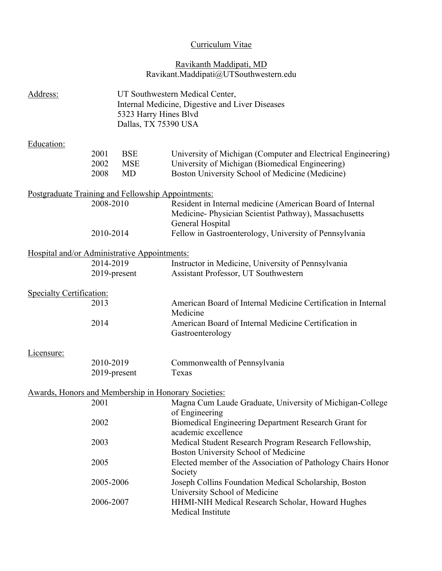# Curriculum Vitae

## Ravikanth Maddipati, MD Ravikant.Maddipati@UTSouthwestern.edu

| Address:                                             |              | UT Southwestern Medical Center,<br>Internal Medicine, Digestive and Liver Diseases<br>5323 Harry Hines Blvd<br>Dallas, TX 75390 USA |                                                                                                                                        |  |
|------------------------------------------------------|--------------|-------------------------------------------------------------------------------------------------------------------------------------|----------------------------------------------------------------------------------------------------------------------------------------|--|
| Education:                                           |              |                                                                                                                                     |                                                                                                                                        |  |
|                                                      | 2001         | <b>BSE</b>                                                                                                                          | University of Michigan (Computer and Electrical Engineering)                                                                           |  |
|                                                      | 2002<br>2008 | <b>MSE</b><br><b>MD</b>                                                                                                             | University of Michigan (Biomedical Engineering)<br>Boston University School of Medicine (Medicine)                                     |  |
| Postgraduate Training and Fellowship Appointments:   |              |                                                                                                                                     |                                                                                                                                        |  |
|                                                      | 2008-2010    |                                                                                                                                     | Resident in Internal medicine (American Board of Internal<br>Medicine- Physician Scientist Pathway), Massachusetts<br>General Hospital |  |
|                                                      | 2010-2014    |                                                                                                                                     | Fellow in Gastroenterology, University of Pennsylvania                                                                                 |  |
| Hospital and/or Administrative Appointments:         |              |                                                                                                                                     |                                                                                                                                        |  |
|                                                      | 2014-2019    |                                                                                                                                     | Instructor in Medicine, University of Pennsylvania                                                                                     |  |
|                                                      |              | 2019-present                                                                                                                        | Assistant Professor, UT Southwestern                                                                                                   |  |
| Specialty Certification:                             |              |                                                                                                                                     |                                                                                                                                        |  |
|                                                      | 2013         |                                                                                                                                     | American Board of Internal Medicine Certification in Internal<br>Medicine                                                              |  |
|                                                      | 2014         |                                                                                                                                     | American Board of Internal Medicine Certification in<br>Gastroenterology                                                               |  |
| <u>Licensure:</u>                                    |              |                                                                                                                                     |                                                                                                                                        |  |
|                                                      | 2010-2019    |                                                                                                                                     | Commonwealth of Pennsylvania                                                                                                           |  |
|                                                      |              | 2019-present                                                                                                                        | Texas                                                                                                                                  |  |
| Awards, Honors and Membership in Honorary Societies: |              |                                                                                                                                     |                                                                                                                                        |  |
|                                                      | 2001         |                                                                                                                                     | Magna Cum Laude Graduate, University of Michigan-College<br>of Engineering                                                             |  |
|                                                      | 2002         |                                                                                                                                     | Biomedical Engineering Department Research Grant for<br>academic excellence                                                            |  |
|                                                      | 2003         |                                                                                                                                     | Medical Student Research Program Research Fellowship,<br>Boston University School of Medicine                                          |  |
|                                                      | 2005         |                                                                                                                                     | Elected member of the Association of Pathology Chairs Honor<br>Society                                                                 |  |
|                                                      | 2005-2006    |                                                                                                                                     | Joseph Collins Foundation Medical Scholarship, Boston<br>University School of Medicine                                                 |  |
|                                                      | 2006-2007    |                                                                                                                                     | HHMI-NIH Medical Research Scholar, Howard Hughes<br>Medical Institute                                                                  |  |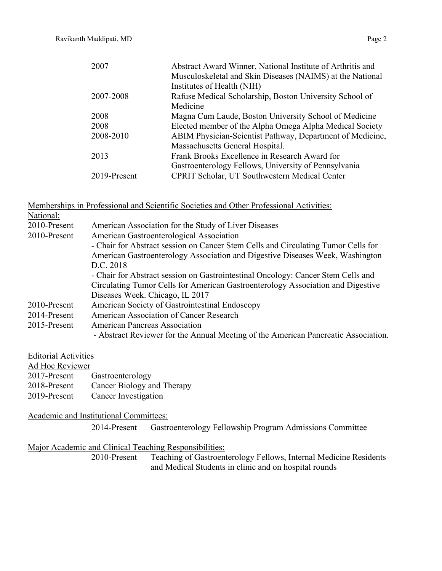| 2007         | Abstract Award Winner, National Institute of Arthritis and |
|--------------|------------------------------------------------------------|
|              | Musculoskeletal and Skin Diseases (NAIMS) at the National  |
|              | Institutes of Health (NIH)                                 |
| 2007-2008    | Rafuse Medical Scholarship, Boston University School of    |
|              | Medicine                                                   |
| 2008         | Magna Cum Laude, Boston University School of Medicine      |
| 2008         | Elected member of the Alpha Omega Alpha Medical Society    |
| 2008-2010    | ABIM Physician-Scientist Pathway, Department of Medicine,  |
|              | Massachusetts General Hospital.                            |
| 2013         | Frank Brooks Excellence in Research Award for              |
|              | Gastroenterology Fellows, University of Pennsylvania       |
| 2019-Present | <b>CPRIT Scholar, UT Southwestern Medical Center</b>       |

## Memberships in Professional and Scientific Societies and Other Professional Activities:

| National:    |                                                                                    |  |
|--------------|------------------------------------------------------------------------------------|--|
| 2010-Present | American Association for the Study of Liver Diseases                               |  |
| 2010-Present | American Gastroenterological Association                                           |  |
|              | - Chair for Abstract session on Cancer Stem Cells and Circulating Tumor Cells for  |  |
|              | American Gastroenterology Association and Digestive Diseases Week, Washington      |  |
|              | D.C. 2018                                                                          |  |
|              | - Chair for Abstract session on Gastrointestinal Oncology: Cancer Stem Cells and   |  |
|              | Circulating Tumor Cells for American Gastroenterology Association and Digestive    |  |
|              | Diseases Week. Chicago, IL 2017                                                    |  |
| 2010-Present | American Society of Gastrointestinal Endoscopy                                     |  |
| 2014-Present | American Association of Cancer Research                                            |  |
| 2015-Present | <b>American Pancreas Association</b>                                               |  |
|              | - Abstract Reviewer for the Annual Meeting of the American Pancreatic Association. |  |

## Editorial Activities

| Ad Hoc Reviewer |                            |
|-----------------|----------------------------|
| 2017-Present    | Gastroenterology           |
| 2018-Present    | Cancer Biology and Therapy |
| 2019-Present    | Cancer Investigation       |

### Academic and Institutional Committees:

2014-Present Gastroenterology Fellowship Program Admissions Committee

# Major Academic and Clinical Teaching Responsibilities:<br>2010-Present Teaching of Gastroent

Teaching of Gastroenterology Fellows, Internal Medicine Residents and Medical Students in clinic and on hospital rounds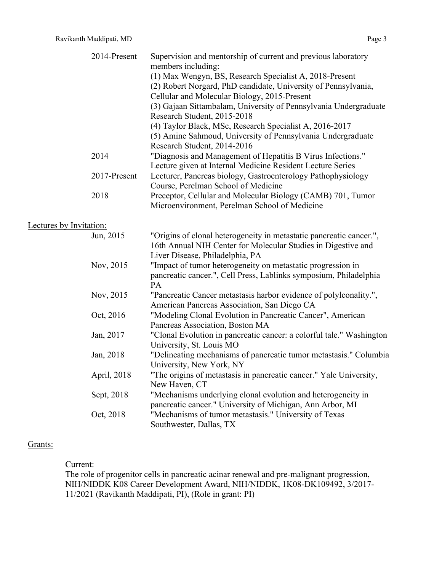|                         | 2014-Present | Supervision and mentorship of current and previous laboratory        |
|-------------------------|--------------|----------------------------------------------------------------------|
|                         |              | members including:                                                   |
|                         |              | (1) Max Wengyn, BS, Research Specialist A, 2018-Present              |
|                         |              | (2) Robert Norgard, PhD candidate, University of Pennsylvania,       |
|                         |              | Cellular and Molecular Biology, 2015-Present                         |
|                         |              | (3) Gajaan Sittambalam, University of Pennsylvania Undergraduate     |
|                         |              | Research Student, 2015-2018                                          |
|                         |              | (4) Taylor Black, MSc, Research Specialist A, 2016-2017              |
|                         |              | (5) Amine Sahmoud, University of Pennsylvania Undergraduate          |
|                         |              | Research Student, 2014-2016                                          |
|                         | 2014         | "Diagnosis and Management of Hepatitis B Virus Infections."          |
|                         |              | Lecture given at Internal Medicine Resident Lecture Series           |
|                         | 2017-Present | Lecturer, Pancreas biology, Gastroenterology Pathophysiology         |
|                         |              | Course, Perelman School of Medicine                                  |
|                         | 2018         | Preceptor, Cellular and Molecular Biology (CAMB) 701, Tumor          |
|                         |              | Microenvironment, Perelman School of Medicine                        |
|                         |              |                                                                      |
| Lectures by Invitation: |              |                                                                      |
|                         | Jun, 2015    | "Origins of clonal heterogeneity in metastatic pancreatic cancer.",  |
|                         |              | 16th Annual NIH Center for Molecular Studies in Digestive and        |
|                         |              | Liver Disease, Philadelphia, PA                                      |
|                         | Nov, 2015    | "Impact of tumor heterogeneity on metastatic progression in          |
|                         |              | pancreatic cancer.", Cell Press, Lablinks symposium, Philadelphia    |
|                         |              | PA                                                                   |
|                         | Nov, 2015    | "Pancreatic Cancer metastasis harbor evidence of polylconality.",    |
|                         |              |                                                                      |
|                         |              | American Pancreas Association, San Diego CA                          |
|                         | Oct, 2016    | "Modeling Clonal Evolution in Pancreatic Cancer", American           |
|                         |              | Pancreas Association, Boston MA                                      |
|                         | Jan, 2017    | "Clonal Evolution in pancreatic cancer: a colorful tale." Washington |
|                         |              | University, St. Louis MO                                             |
|                         | Jan, 2018    | "Delineating mechanisms of pancreatic tumor metastasis." Columbia    |
|                         |              | University, New York, NY                                             |
|                         | April, 2018  | "The origins of metastasis in pancreatic cancer." Yale University,   |
|                         |              | New Haven, CT                                                        |
|                         | Sept, 2018   | "Mechanisms underlying clonal evolution and heterogeneity in         |
|                         |              | pancreatic cancer." University of Michigan, Ann Arbor, MI            |
|                         | Oct, 2018    | "Mechanisms of tumor metastasis." University of Texas                |
|                         |              | Southwester, Dallas, TX                                              |
|                         |              |                                                                      |

# Grants:

## Current:

The role of progenitor cells in pancreatic acinar renewal and pre-malignant progression, NIH/NIDDK K08 Career Development Award, NIH/NIDDK, 1K08-DK109492, 3/2017- 11/2021 (Ravikanth Maddipati, PI), (Role in grant: PI)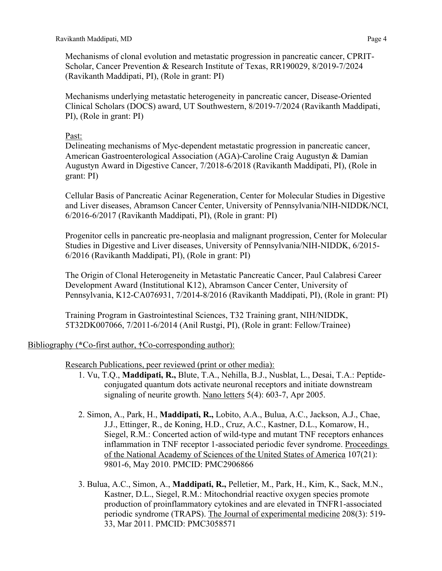Mechanisms of clonal evolution and metastatic progression in pancreatic cancer, CPRIT-Scholar, Cancer Prevention & Research Institute of Texas, RR190029, 8/2019-7/2024 (Ravikanth Maddipati, PI), (Role in grant: PI)

Mechanisms underlying metastatic heterogeneity in pancreatic cancer, Disease-Oriented Clinical Scholars (DOCS) award, UT Southwestern, 8/2019-7/2024 (Ravikanth Maddipati, PI), (Role in grant: PI)

## Past:

Delineating mechanisms of Myc-dependent metastatic progression in pancreatic cancer, American Gastroenterological Association (AGA)-Caroline Craig Augustyn & Damian Augustyn Award in Digestive Cancer, 7/2018-6/2018 (Ravikanth Maddipati, PI), (Role in grant: PI)

Cellular Basis of Pancreatic Acinar Regeneration, Center for Molecular Studies in Digestive and Liver diseases, Abramson Cancer Center, University of Pennsylvania/NIH-NIDDK/NCI, 6/2016-6/2017 (Ravikanth Maddipati, PI), (Role in grant: PI)

Progenitor cells in pancreatic pre-neoplasia and malignant progression, Center for Molecular Studies in Digestive and Liver diseases, University of Pennsylvania/NIH-NIDDK, 6/2015- 6/2016 (Ravikanth Maddipati, PI), (Role in grant: PI)

The Origin of Clonal Heterogeneity in Metastatic Pancreatic Cancer, Paul Calabresi Career Development Award (Institutional K12), Abramson Cancer Center, University of Pennsylvania, K12-CA076931, 7/2014-8/2016 (Ravikanth Maddipati, PI), (Role in grant: PI)

Training Program in Gastrointestinal Sciences, T32 Training grant, NIH/NIDDK, 5T32DK007066, 7/2011-6/2014 (Anil Rustgi, PI), (Role in grant: Fellow/Trainee)

# Bibliography (**\***Co-first author, **†**Co-corresponding author):

Research Publications, peer reviewed (print or other media):

- 1. Vu, T.Q., **Maddipati, R.,** Blute, T.A., Nehilla, B.J., Nusblat, L., Desai, T.A.: Peptideconjugated quantum dots activate neuronal receptors and initiate downstream signaling of neurite growth. Nano letters 5(4): 603-7, Apr 2005.
- 2. Simon, A., Park, H., **Maddipati, R.,** Lobito, A.A., Bulua, A.C., Jackson, A.J., Chae, J.J., Ettinger, R., de Koning, H.D., Cruz, A.C., Kastner, D.L., Komarow, H., Siegel, R.M.: Concerted action of wild-type and mutant TNF receptors enhances inflammation in TNF receptor 1-associated periodic fever syndrome. Proceedings of the National Academy of Sciences of the United States of America 107(21): 9801-6, May 2010. PMCID: PMC2906866
- 3. Bulua, A.C., Simon, A., **Maddipati, R.,** Pelletier, M., Park, H., Kim, K., Sack, M.N., Kastner, D.L., Siegel, R.M.: Mitochondrial reactive oxygen species promote production of proinflammatory cytokines and are elevated in TNFR1-associated periodic syndrome (TRAPS). The Journal of experimental medicine 208(3): 519- 33, Mar 2011. PMCID: PMC3058571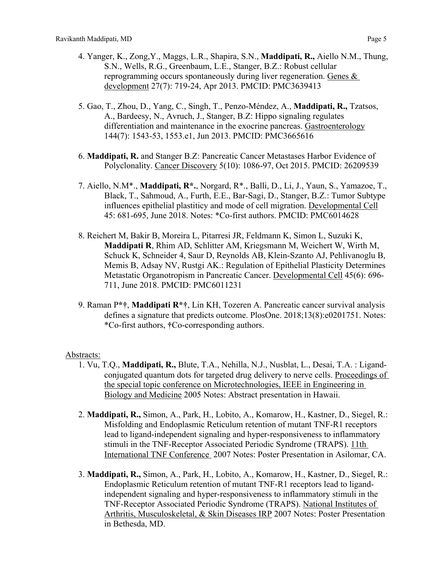- 4. Yanger, K., Zong,Y., Maggs, L.R., Shapira, S.N., **Maddipati, R.,** Aiello N.M., Thung, S.N., Wells, R.G., Greenbaum, L.E., Stanger, B.Z.: Robust cellular reprogramming occurs spontaneously during liver regeneration. Genes  $\&$ development 27(7): 719-24, Apr 2013. PMCID: PMC3639413
- 5. Gao, T., Zhou, D., Yang, C., Singh, T., Penzo-Méndez, A., **Maddipati, R.,** Tzatsos, A., Bardeesy, N., Avruch, J., Stanger, B.Z: Hippo signaling regulates differentiation and maintenance in the exocrine pancreas. Gastroenterology 144(7): 1543-53, 1553.e1, Jun 2013. PMCID: PMC3665616
- 6. **Maddipati, R.** and Stanger B.Z: Pancreatic Cancer Metastases Harbor Evidence of Polyclonality. Cancer Discovery 5(10): 1086-97, Oct 2015. PMCID: 26209539
- 7. Aiello, N.M\*., **Maddipati, R\*.**, Norgard, R\*., Balli, D., Li, J., Yaun, S., Yamazoe, T., Black, T., Sahmoud, A., Furth, E.E., Bar-Sagi, D., Stanger, B.Z.: Tumor Subtype influences epithelial plastiticy and mode of cell migration. Developmental Cell 45: 681-695, June 2018. Notes: \*Co-first authors. PMCID: PMC6014628
- 8. Reichert M, Bakir B, Moreira L, Pitarresi JR, Feldmann K, Simon L, Suzuki K, **Maddipati R**, Rhim AD, Schlitter AM, Kriegsmann M, Weichert W, Wirth M, Schuck K, Schneider 4, Saur D, Reynolds AB, Klein-Szanto AJ, Pehlivanoglu B, Memis B, Adsay NV, Rustgi AK.: Regulation of Epithelial Plasticity Determines Metastatic Organotropism in Pancreatic Cancer. Developmental Cell 45(6): 696- 711, June 2018. PMCID: PMC6011231
- 9. Raman P**\*†**, **Maddipati R\*†**, Lin KH, Tozeren A. Pancreatic cancer survival analysis defines a signature that predicts outcome. PlosOne. 2018;13(8):e0201751. Notes: \*Co-first authors, **†**Co-corresponding authors.

### Abstracts:

- 1. Vu, T.Q., **Maddipati, R.,** Blute, T.A., Nehilla, N.J., Nusblat, L., Desai, T.A. : Ligandconjugated quantum dots for targeted drug delivery to nerve cells. Proceedings of the special topic conference on Microtechnologies, IEEE in Engineering in Biology and Medicine 2005 Notes: Abstract presentation in Hawaii.
- 2. **Maddipati, R.,** Simon, A., Park, H., Lobito, A., Komarow, H., Kastner, D., Siegel, R.: Misfolding and Endoplasmic Reticulum retention of mutant TNF-R1 receptors lead to ligand-independent signaling and hyper-responsiveness to inflammatory stimuli in the TNF-Receptor Associated Periodic Syndrome (TRAPS). 11th International TNF Conference 2007 Notes: Poster Presentation in Asilomar, CA.
- 3. **Maddipati, R.,** Simon, A., Park, H., Lobito, A., Komarow, H., Kastner, D., Siegel, R.: Endoplasmic Reticulum retention of mutant TNF-R1 receptors lead to ligandindependent signaling and hyper-responsiveness to inflammatory stimuli in the TNF-Receptor Associated Periodic Syndrome (TRAPS). National Institutes of Arthritis, Musculoskeletal, & Skin Diseases IRP 2007 Notes: Poster Presentation in Bethesda, MD.